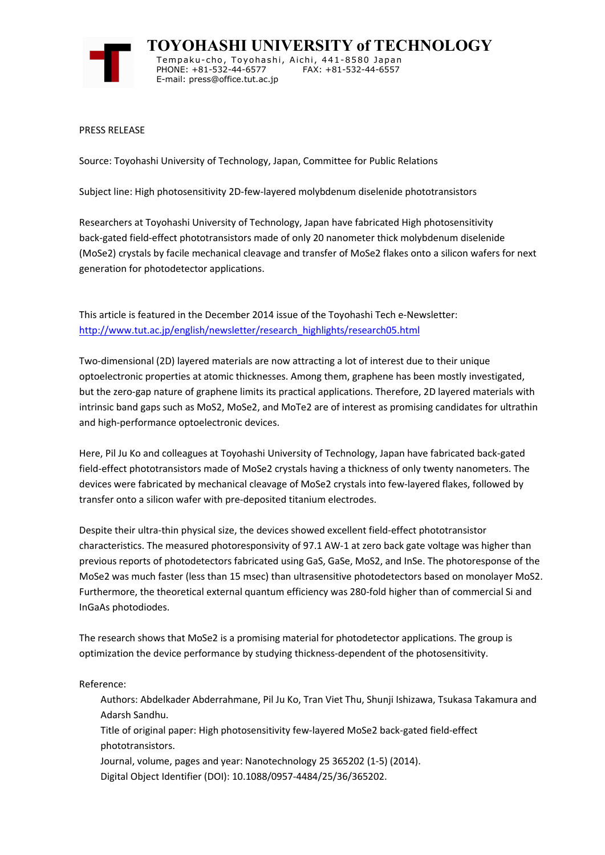

**TOYOHASHI UNIVERSITY of TECHNOLOGY** Tempaku-cho, Toyohashi, Aichi, 441-8580 Japan PHONE: +81-532-44-6577 FAX: +81-532-44-6557 E-mail: press@office.tut.ac.jp

PRESS RELEASE

Source: Toyohashi University of Technology, Japan, Committee for Public Relations

Subject line: High photosensitivity 2D-few-layered molybdenum diselenide phototransistors

Researchers at Toyohashi University of Technology, Japan have fabricated High photosensitivity back-gated field-effect phototransistors made of only 20 nanometer thick molybdenum diselenide (MoSe2) crystals by facile mechanical cleavage and transfer of MoSe2 flakes onto a silicon wafers for next generation for photodetector applications.

This article is featured in the December 2014 issue of the Toyohashi Tech e-Newsletter: http://www.tut.ac.jp/english/newsletter/research\_highlights/research05.html

Two-dimensional (2D) layered materials are now attracting a lot of interest due to their unique optoelectronic properties at atomic thicknesses. Among them, graphene has been mostly investigated, but the zero-gap nature of graphene limits its practical applications. Therefore, 2D layered materials with intrinsic band gaps such as MoS2, MoSe2, and MoTe2 are of interest as promising candidates for ultrathin and high-performance optoelectronic devices.

Here, Pil Ju Ko and colleagues at Toyohashi University of Technology, Japan have fabricated back-gated field-effect phototransistors made of MoSe2 crystals having a thickness of only twenty nanometers. The devices were fabricated by mechanical cleavage of MoSe2 crystals into few-layered flakes, followed by transfer onto a silicon wafer with pre-deposited titanium electrodes.

Despite their ultra-thin physical size, the devices showed excellent field-effect phototransistor characteristics. The measured photoresponsivity of 97.1 AW-1 at zero back gate voltage was higher than previous reports of photodetectors fabricated using GaS, GaSe, MoS2, and InSe. The photoresponse of the MoSe2 was much faster (less than 15 msec) than ultrasensitive photodetectors based on monolayer MoS2. Furthermore, the theoretical external quantum efficiency was 280-fold higher than of commercial Si and InGaAs photodiodes.

The research shows that MoSe2 is a promising material for photodetector applications. The group is optimization the device performance by studying thickness-dependent of the photosensitivity.

Reference:

Authors: Abdelkader Abderrahmane, Pil Ju Ko, Tran Viet Thu, Shunji Ishizawa, Tsukasa Takamura and Adarsh Sandhu.

Title of original paper: High photosensitivity few-layered MoSe2 back-gated field-effect phototransistors.

Journal, volume, pages and year: Nanotechnology 25 365202 (1-5) (2014).

Digital Object Identifier (DOI): 10.1088/0957-4484/25/36/365202.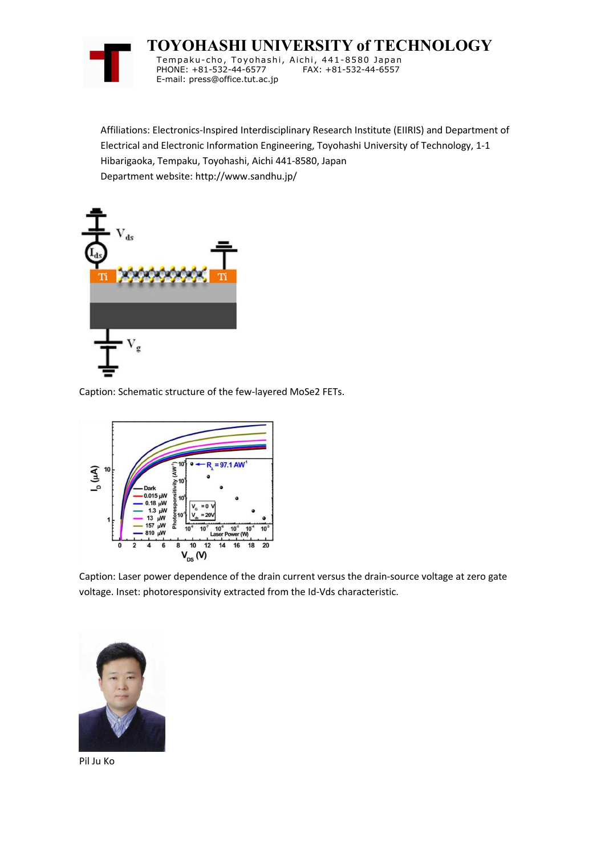

**TOYOHASHI UNIVERSITY of TECHNOLOGY**

Tempaku-cho, Toyohashi, Aichi, 441-8580 Japan PHONE: +81-532-44-6577 E-mail: press@office.tut.ac.jp

Affiliations: Electronics-Inspired Interdisciplinary Research Institute (EIIRIS) and Department of Electrical and Electronic Information Engineering, Toyohashi University of Technology, 1-1 Hibarigaoka, Tempaku, Toyohashi, Aichi 441-8580, Japan Department website: http://www.sandhu.jp/



Caption: Schematic structure of the few-layered MoSe2 FETs.



Caption: Laser power dependence of the drain current versus the drain-source voltage at zero gate voltage. Inset: photoresponsivity extracted from the Id-Vds characteristic.



Pil Ju Ko